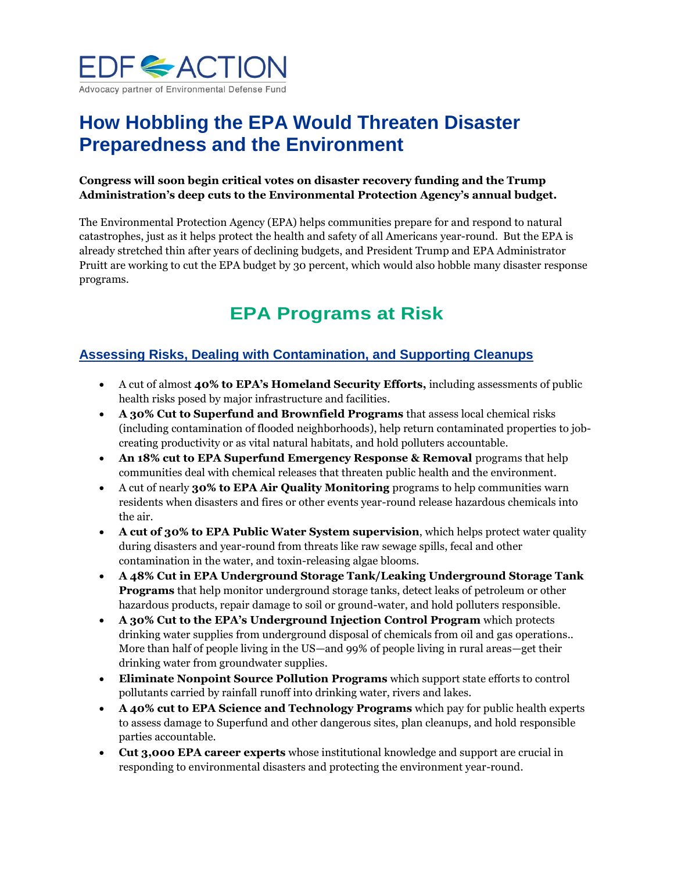

# **How Hobbling the EPA Would Threaten Disaster Preparedness and the Environment**

#### **Congress will soon begin critical votes on disaster recovery funding and the Trump Administration's deep cuts to the Environmental Protection Agency's annual budget.**

The Environmental Protection Agency (EPA) helps communities prepare for and respond to natural catastrophes, just as it helps protect the health and safety of all Americans year-round. But the EPA is already stretched thin after years of declining budgets, and President Trump and EPA Administrator Pruitt are working to cut the EPA budget by 30 percent, which would also hobble many disaster response programs.

# **EPA Programs at Risk**

### **Assessing Risks, Dealing with Contamination, and Supporting Cleanups**

- A cut of almost **40% to EPA's Homeland Security Efforts,** including assessments of public health risks posed by major infrastructure and facilities.
- **A 30% Cut to Superfund and Brownfield Programs** that assess local chemical risks (including contamination of flooded neighborhoods), help return contaminated properties to jobcreating productivity or as vital natural habitats, and hold polluters accountable.
- **An 18% cut to EPA Superfund Emergency Response & Removal** programs that help communities deal with chemical releases that threaten public health and the environment.
- A cut of nearly **30% to EPA Air Quality Monitoring** programs to help communities warn residents when disasters and fires or other events year-round release hazardous chemicals into the air.
- **A cut of 30% to EPA Public Water System supervision**, which helps protect water quality during disasters and year-round from threats like raw sewage spills, fecal and other contamination in the water, and toxin-releasing algae blooms.
- **A 48% Cut in EPA Underground Storage Tank/Leaking Underground Storage Tank Programs** that help monitor underground storage tanks, detect leaks of petroleum or other hazardous products, repair damage to soil or ground-water, and hold polluters responsible.
- **A 30% Cut to the EPA's Underground Injection Control Program** which protects drinking water supplies from underground disposal of chemicals from oil and gas operations.. More than half of people living in the US—and 99% of people living in rural areas—get their drinking water from groundwater supplies.
- **Eliminate Nonpoint Source Pollution Programs** which support state efforts to control pollutants carried by rainfall runoff into drinking water, rivers and lakes.
- **A 40% cut to EPA Science and Technology Programs** which pay for public health experts to assess damage to Superfund and other dangerous sites, plan cleanups, and hold responsible parties accountable.
- **Cut 3,000 EPA career experts** whose institutional knowledge and support are crucial in responding to environmental disasters and protecting the environment year-round.